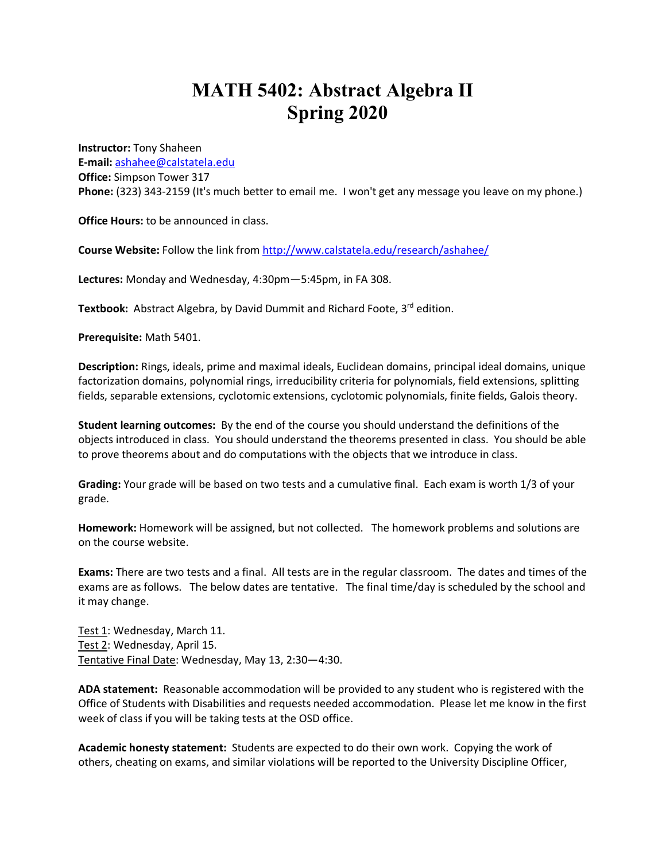## **MATH 5402: Abstract Algebra II Spring 2020**

**Instructor:** Tony Shaheen **E-mail:** ashahee@calstatela.edu **Office:** Simpson Tower 317 **Phone:** (323) 343-2159 (It's much better to email me. I won't get any message you leave on my phone.)

**Office Hours:** to be announced in class.

**Course Website:** Follow the link from http://www.calstatela.edu/research/ashahee/

**Lectures:** Monday and Wednesday, 4:30pm—5:45pm, in FA 308.

**Textbook:** Abstract Algebra, by David Dummit and Richard Foote, 3<sup>rd</sup> edition.

**Prerequisite:** Math 5401.

**Description:** Rings, ideals, prime and maximal ideals, Euclidean domains, principal ideal domains, unique factorization domains, polynomial rings, irreducibility criteria for polynomials, field extensions, splitting fields, separable extensions, cyclotomic extensions, cyclotomic polynomials, finite fields, Galois theory.

**Student learning outcomes:** By the end of the course you should understand the definitions of the objects introduced in class. You should understand the theorems presented in class. You should be able to prove theorems about and do computations with the objects that we introduce in class.

**Grading:** Your grade will be based on two tests and a cumulative final. Each exam is worth 1/3 of your grade.

**Homework:** Homework will be assigned, but not collected. The homework problems and solutions are on the course website.

**Exams:** There are two tests and a final. All tests are in the regular classroom. The dates and times of the exams are as follows. The below dates are tentative. The final time/day is scheduled by the school and it may change.

Test 1: Wednesday, March 11. Test 2: Wednesday, April 15. Tentative Final Date: Wednesday, May 13, 2:30—4:30.

**ADA statement:** Reasonable accommodation will be provided to any student who is registered with the Office of Students with Disabilities and requests needed accommodation. Please let me know in the first week of class if you will be taking tests at the OSD office.

**Academic honesty statement:** Students are expected to do their own work. Copying the work of others, cheating on exams, and similar violations will be reported to the University Discipline Officer,